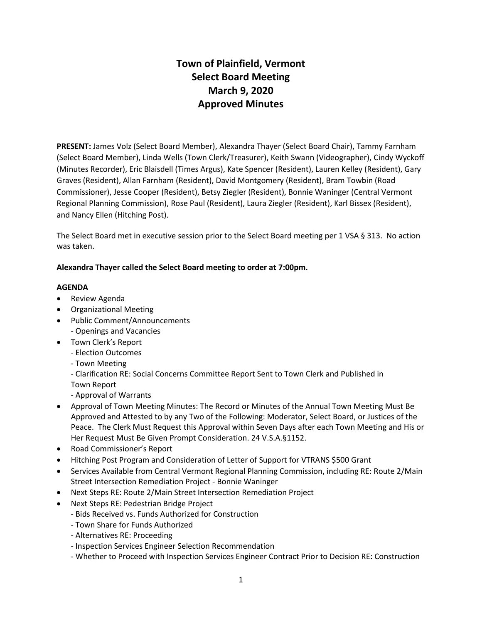# **Town of Plainfield, Vermont Select Board Meeting March 9, 2020 Approved Minutes**

**PRESENT:** James Volz (Select Board Member), Alexandra Thayer (Select Board Chair), Tammy Farnham (Select Board Member), Linda Wells (Town Clerk/Treasurer), Keith Swann (Videographer), Cindy Wyckoff (Minutes Recorder), Eric Blaisdell (Times Argus), Kate Spencer (Resident), Lauren Kelley (Resident), Gary Graves (Resident), Allan Farnham (Resident), David Montgomery (Resident), Bram Towbin (Road Commissioner), Jesse Cooper (Resident), Betsy Ziegler (Resident), Bonnie Waninger (Central Vermont Regional Planning Commission), Rose Paul (Resident), Laura Ziegler (Resident), Karl Bissex (Resident), and Nancy Ellen (Hitching Post).

The Select Board met in executive session prior to the Select Board meeting per 1 VSA § 313. No action was taken.

# **Alexandra Thayer called the Select Board meeting to order at 7:00pm.**

## **AGENDA**

- Review Agenda
- Organizational Meeting
- Public Comment/Announcements - Openings and Vacancies
- Town Clerk's Report
	- Election Outcomes
	- Town Meeting

- Clarification RE: Social Concerns Committee Report Sent to Town Clerk and Published in Town Report

- Approval of Warrants
- Approval of Town Meeting Minutes: The Record or Minutes of the Annual Town Meeting Must Be Approved and Attested to by any Two of the Following: Moderator, Select Board, or Justices of the Peace. The Clerk Must Request this Approval within Seven Days after each Town Meeting and His or Her Request Must Be Given Prompt Consideration. 24 V.S.A.§1152.
- Road Commissioner's Report
- Hitching Post Program and Consideration of Letter of Support for VTRANS \$500 Grant
- Services Available from Central Vermont Regional Planning Commission, including RE: Route 2/Main Street Intersection Remediation Project - Bonnie Waninger
- Next Steps RE: Route 2/Main Street Intersection Remediation Project
- Next Steps RE: Pedestrian Bridge Project
	- Bids Received vs. Funds Authorized for Construction
	- Town Share for Funds Authorized
	- Alternatives RE: Proceeding
	- Inspection Services Engineer Selection Recommendation
	- Whether to Proceed with Inspection Services Engineer Contract Prior to Decision RE: Construction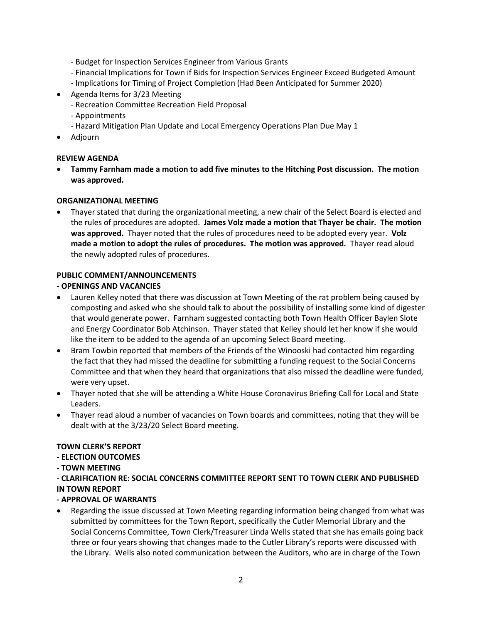- Budget for Inspection Services Engineer from Various Grants
- Financial Implications for Town if Bids for Inspection Services Engineer Exceed Budgeted Amount
- Implications for Timing of Project Completion (Had Been Anticipated for Summer 2020)
- Agenda Items for 3/23 Meeting
	- Recreation Committee Recreation Field Proposal
	- Appointments
	- Hazard Mitigation Plan Update and Local Emergency Operations Plan Due May 1
- Adjourn

#### **REVIEW AGENDA**

 **Tammy Farnham made a motion to add five minutes to the Hitching Post discussion. The motion was approved.** 

#### **ORGANIZATIONAL MEETING**

 Thayer stated that during the organizational meeting, a new chair of the Select Board is elected and the rules of procedures are adopted. **James Volz made a motion that Thayer be chair. The motion was approved.** Thayer noted that the rules of procedures need to be adopted every year. **Volz made a motion to adopt the rules of procedures. The motion was approved.** Thayer read aloud the newly adopted rules of procedures.

## **PUBLIC COMMENT/ANNOUNCEMENTS**

#### **- OPENINGS AND VACANCIES**

- Lauren Kelley noted that there was discussion at Town Meeting of the rat problem being caused by composting and asked who she should talk to about the possibility of installing some kind of digester that would generate power. Farnham suggested contacting both Town Health Officer Baylen Slote and Energy Coordinator Bob Atchinson. Thayer stated that Kelley should let her know if she would like the item to be added to the agenda of an upcoming Select Board meeting.
- Bram Towbin reported that members of the Friends of the Winooski had contacted him regarding the fact that they had missed the deadline for submitting a funding request to the Social Concerns Committee and that when they heard that organizations that also missed the deadline were funded, were very upset.
- Thayer noted that she will be attending a White House Coronavirus Briefing Call for Local and State Leaders.
- Thayer read aloud a number of vacancies on Town boards and committees, noting that they will be dealt with at the 3/23/20 Select Board meeting.

#### **TOWN CLERK'S REPORT**

#### **- ELECTION OUTCOMES**

- **- TOWN MEETING**
- **- CLARIFICATION RE: SOCIAL CONCERNS COMMITTEE REPORT SENT TO TOWN CLERK AND PUBLISHED IN TOWN REPORT**

#### **- APPROVAL OF WARRANTS**

 Regarding the issue discussed at Town Meeting regarding information being changed from what was submitted by committees for the Town Report, specifically the Cutler Memorial Library and the Social Concerns Committee, Town Clerk/Treasurer Linda Wells stated that she has emails going back three or four years showing that changes made to the Cutler Library's reports were discussed with the Library. Wells also noted communication between the Auditors, who are in charge of the Town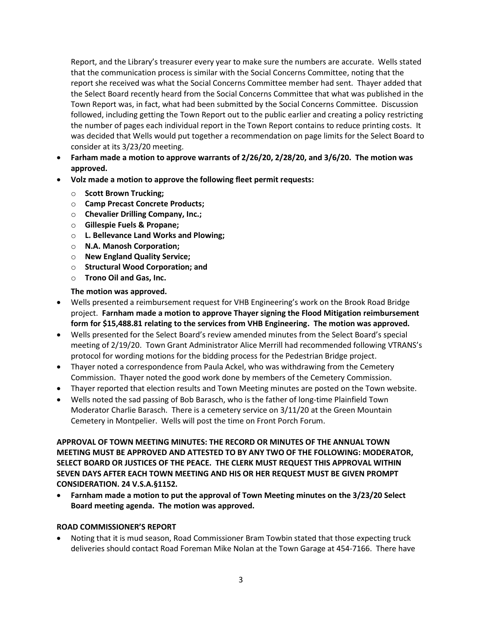Report, and the Library's treasurer every year to make sure the numbers are accurate. Wells stated that the communication process is similar with the Social Concerns Committee, noting that the report she received was what the Social Concerns Committee member had sent. Thayer added that the Select Board recently heard from the Social Concerns Committee that what was published in the Town Report was, in fact, what had been submitted by the Social Concerns Committee. Discussion followed, including getting the Town Report out to the public earlier and creating a policy restricting the number of pages each individual report in the Town Report contains to reduce printing costs. It was decided that Wells would put together a recommendation on page limits for the Select Board to consider at its 3/23/20 meeting.

- **Farham made a motion to approve warrants of 2/26/20, 2/28/20, and 3/6/20. The motion was approved.**
- **Volz made a motion to approve the following fleet permit requests:**
	- o **Scott Brown Trucking;**
	- o **Camp Precast Concrete Products;**
	- o **Chevalier Drilling Company, Inc.;**
	- o **Gillespie Fuels & Propane;**
	- o **L. Bellevance Land Works and Plowing;**
	- o **N.A. Manosh Corporation;**
	- o **New England Quality Service;**
	- o **Structural Wood Corporation; and**
	- o **Trono Oil and Gas, Inc.**

#### **The motion was approved.**

- Wells presented a reimbursement request for VHB Engineering's work on the Brook Road Bridge project. **Farnham made a motion to approve Thayer signing the Flood Mitigation reimbursement form for \$15,488.81 relating to the services from VHB Engineering. The motion was approved.**
- Wells presented for the Select Board's review amended minutes from the Select Board's special meeting of 2/19/20. Town Grant Administrator Alice Merrill had recommended following VTRANS's protocol for wording motions for the bidding process for the Pedestrian Bridge project.
- Thayer noted a correspondence from Paula Ackel, who was withdrawing from the Cemetery Commission. Thayer noted the good work done by members of the Cemetery Commission.
- Thayer reported that election results and Town Meeting minutes are posted on the Town website.
- Wells noted the sad passing of Bob Barasch, who is the father of long-time Plainfield Town Moderator Charlie Barasch. There is a cemetery service on 3/11/20 at the Green Mountain Cemetery in Montpelier. Wells will post the time on Front Porch Forum.

**APPROVAL OF TOWN MEETING MINUTES: THE RECORD OR MINUTES OF THE ANNUAL TOWN MEETING MUST BE APPROVED AND ATTESTED TO BY ANY TWO OF THE FOLLOWING: MODERATOR, SELECT BOARD OR JUSTICES OF THE PEACE. THE CLERK MUST REQUEST THIS APPROVAL WITHIN SEVEN DAYS AFTER EACH TOWN MEETING AND HIS OR HER REQUEST MUST BE GIVEN PROMPT CONSIDERATION. 24 V.S.A.§1152.**

 **Farnham made a motion to put the approval of Town Meeting minutes on the 3/23/20 Select Board meeting agenda. The motion was approved.** 

#### **ROAD COMMISSIONER'S REPORT**

 Noting that it is mud season, Road Commissioner Bram Towbin stated that those expecting truck deliveries should contact Road Foreman Mike Nolan at the Town Garage at 454-7166. There have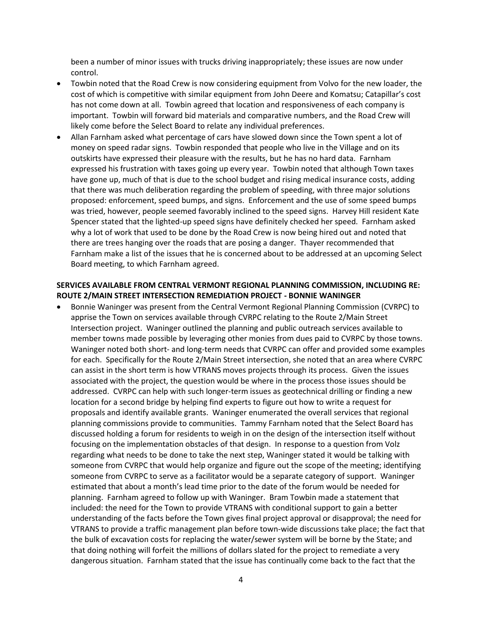been a number of minor issues with trucks driving inappropriately; these issues are now under control.

- Towbin noted that the Road Crew is now considering equipment from Volvo for the new loader, the cost of which is competitive with similar equipment from John Deere and Komatsu; Catapillar's cost has not come down at all. Towbin agreed that location and responsiveness of each company is important. Towbin will forward bid materials and comparative numbers, and the Road Crew will likely come before the Select Board to relate any individual preferences.
- Allan Farnham asked what percentage of cars have slowed down since the Town spent a lot of money on speed radar signs. Towbin responded that people who live in the Village and on its outskirts have expressed their pleasure with the results, but he has no hard data. Farnham expressed his frustration with taxes going up every year. Towbin noted that although Town taxes have gone up, much of that is due to the school budget and rising medical insurance costs, adding that there was much deliberation regarding the problem of speeding, with three major solutions proposed: enforcement, speed bumps, and signs. Enforcement and the use of some speed bumps was tried, however, people seemed favorably inclined to the speed signs. Harvey Hill resident Kate Spencer stated that the lighted-up speed signs have definitely checked her speed. Farnham asked why a lot of work that used to be done by the Road Crew is now being hired out and noted that there are trees hanging over the roads that are posing a danger. Thayer recommended that Farnham make a list of the issues that he is concerned about to be addressed at an upcoming Select Board meeting, to which Farnham agreed.

#### **SERVICES AVAILABLE FROM CENTRAL VERMONT REGIONAL PLANNING COMMISSION, INCLUDING RE: ROUTE 2/MAIN STREET INTERSECTION REMEDIATION PROJECT - BONNIE WANINGER**

 Bonnie Waninger was present from the Central Vermont Regional Planning Commission (CVRPC) to apprise the Town on services available through CVRPC relating to the Route 2/Main Street Intersection project. Waninger outlined the planning and public outreach services available to member towns made possible by leveraging other monies from dues paid to CVRPC by those towns. Waninger noted both short- and long-term needs that CVRPC can offer and provided some examples for each. Specifically for the Route 2/Main Street intersection, she noted that an area where CVRPC can assist in the short term is how VTRANS moves projects through its process. Given the issues associated with the project, the question would be where in the process those issues should be addressed. CVRPC can help with such longer-term issues as geotechnical drilling or finding a new location for a second bridge by helping find experts to figure out how to write a request for proposals and identify available grants. Waninger enumerated the overall services that regional planning commissions provide to communities. Tammy Farnham noted that the Select Board has discussed holding a forum for residents to weigh in on the design of the intersection itself without focusing on the implementation obstacles of that design. In response to a question from Volz regarding what needs to be done to take the next step, Waninger stated it would be talking with someone from CVRPC that would help organize and figure out the scope of the meeting; identifying someone from CVRPC to serve as a facilitator would be a separate category of support. Waninger estimated that about a month's lead time prior to the date of the forum would be needed for planning. Farnham agreed to follow up with Waninger. Bram Towbin made a statement that included: the need for the Town to provide VTRANS with conditional support to gain a better understanding of the facts before the Town gives final project approval or disapproval; the need for VTRANS to provide a traffic management plan before town-wide discussions take place; the fact that the bulk of excavation costs for replacing the water/sewer system will be borne by the State; and that doing nothing will forfeit the millions of dollars slated for the project to remediate a very dangerous situation. Farnham stated that the issue has continually come back to the fact that the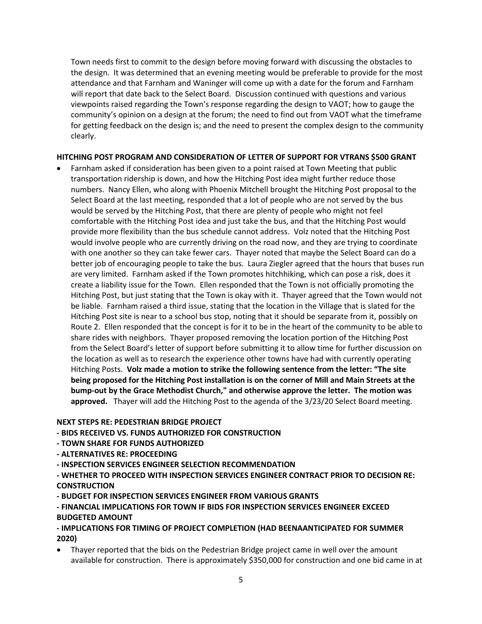Town needs first to commit to the design before moving forward with discussing the obstacles to the design. It was determined that an evening meeting would be preferable to provide for the most attendance and that Farnham and Waninger will come up with a date for the forum and Farnham will report that date back to the Select Board. Discussion continued with questions and various viewpoints raised regarding the Town's response regarding the design to VAOT; how to gauge the community's opinion on a design at the forum; the need to find out from VAOT what the timeframe for getting feedback on the design is; and the need to present the complex design to the community clearly.

## **HITCHING POST PROGRAM AND CONSIDERATION OF LETTER OF SUPPORT FOR VTRANS \$500 GRANT**

 Farnham asked if consideration has been given to a point raised at Town Meeting that public transportation ridership is down, and how the Hitching Post idea might further reduce those numbers. Nancy Ellen, who along with Phoenix Mitchell brought the Hitching Post proposal to the Select Board at the last meeting, responded that a lot of people who are not served by the bus would be served by the Hitching Post, that there are plenty of people who might not feel comfortable with the Hitching Post idea and just take the bus, and that the Hitching Post would provide more flexibility than the bus schedule cannot address. Volz noted that the Hitching Post would involve people who are currently driving on the road now, and they are trying to coordinate with one another so they can take fewer cars. Thayer noted that maybe the Select Board can do a better job of encouraging people to take the bus. Laura Ziegler agreed that the hours that buses run are very limited. Farnham asked if the Town promotes hitchhiking, which can pose a risk, does it create a liability issue for the Town. Ellen responded that the Town is not officially promoting the Hitching Post, but just stating that the Town is okay with it. Thayer agreed that the Town would not be liable. Farnham raised a third issue, stating that the location in the Village that is slated for the Hitching Post site is near to a school bus stop, noting that it should be separate from it, possibly on Route 2. Ellen responded that the concept is for it to be in the heart of the community to be able to share rides with neighbors. Thayer proposed removing the location portion of the Hitching Post from the Select Board's letter of support before submitting it to allow time for further discussion on the location as well as to research the experience other towns have had with currently operating Hitching Posts. **Volz made a motion to strike the following sentence from the letter: "The site being proposed for the Hitching Post installation is on the corner of Mill and Main Streets at the bump-out by the Grace Methodist Church," and otherwise approve the letter. The motion was approved.** Thayer will add the Hitching Post to the agenda of the 3/23/20 Select Board meeting.

# **NEXT STEPS RE: PEDESTRIAN BRIDGE PROJECT**

- **- BIDS RECEIVED VS. FUNDS AUTHORIZED FOR CONSTRUCTION**
- **- TOWN SHARE FOR FUNDS AUTHORIZED**
- **- ALTERNATIVES RE: PROCEEDING**
- **- INSPECTION SERVICES ENGINEER SELECTION RECOMMENDATION**

**- WHETHER TO PROCEED WITH INSPECTION SERVICES ENGINEER CONTRACT PRIOR TO DECISION RE: CONSTRUCTION** 

**- BUDGET FOR INSPECTION SERVICES ENGINEER FROM VARIOUS GRANTS** 

**- FINANCIAL IMPLICATIONS FOR TOWN IF BIDS FOR INSPECTION SERVICES ENGINEER EXCEED BUDGETED AMOUNT** 

# **- IMPLICATIONS FOR TIMING OF PROJECT COMPLETION (HAD BEENAANTICIPATED FOR SUMMER 2020)**

 Thayer reported that the bids on the Pedestrian Bridge project came in well over the amount available for construction. There is approximately \$350,000 for construction and one bid came in at